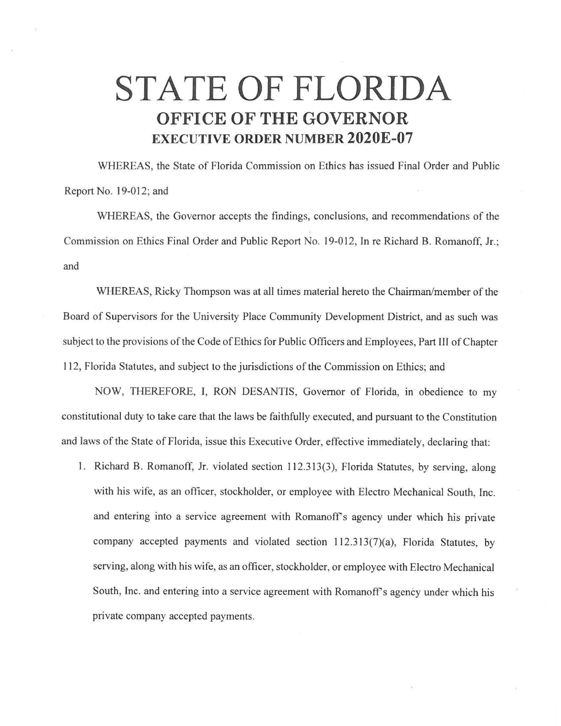## **STATE OF FLORIDA OFFICE OF THE GOVERNOR EXECUTIVE ORDER NUMBER 2020E-07**

WHEREAS, the State of Florida Commission on Ethics has issued Final Order and Public Report No. 19-012; and

WHEREAS, the Governor accepts the findings, conclusions, and recommendations of the Commission on Ethics Final Order and Public Report No. 19-012, In re Richard B. Romanoff, Jr.; and

WHEREAS, Ricky Thompson was at all times material hereto the Chairman/member of the Board of Supervisors for the University Place Community Development District, and as such was subject to the provisions of the Code of Ethics for Public Officers and Employees, Part III of Chapter 112, Florida Statutes, and subject to the jurisdictions of the Commission on Ethics; and

NOW, THEREFORE, I, RON DESANTIS, Governor of Florida, in obedience to my constitutional duty to take care that the laws be faithfully executed, and pursuant to the Constitution and laws of the State of Florida, issue this Executive Order, effective immediately, declaring that:

1. Richard B. Romanoff, Jr. violated section 112.313(3 ), Florida Statutes, by serving, along with his wife, as an officer, stockholder, or employee with Electro Mechanical South, Inc. and entering into a service agreement with Romanoff's agency under which his private company accepted payments and violated section  $112.313(7)(a)$ , Florida Statutes, by serving, along with his wife, as an officer, stockholder, or employee with Electro Mechanical South, Inc. and entering into a service agreement with Romanoff's agency under which his private company accepted payments.